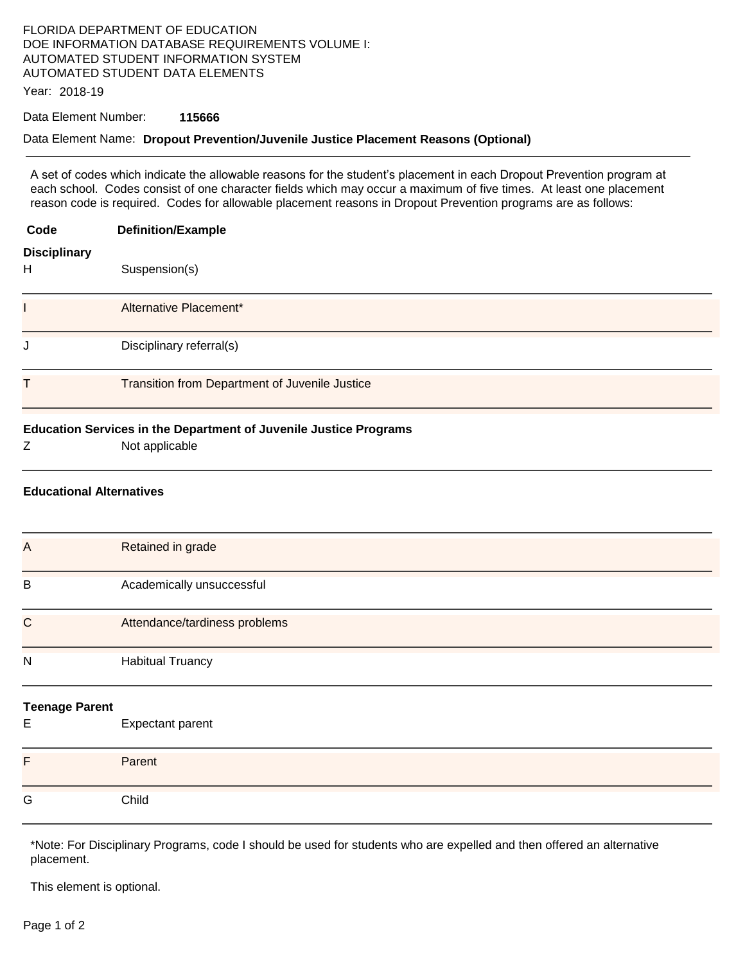## FLORIDA DEPARTMENT OF EDUCATION DOE INFORMATION DATABASE REQUIREMENTS VOLUME I: AUTOMATED STUDENT INFORMATION SYSTEM AUTOMATED STUDENT DATA ELEMENTS

Year: 2018-19

## Data Element Number: **115666**

## Data Element Name: **Dropout Prevention/Juvenile Justice Placement Reasons (Optional)**

A set of codes which indicate the allowable reasons for the student's placement in each Dropout Prevention program at each school. Codes consist of one character fields which may occur a maximum of five times. At least one placement reason code is required. Codes for allowable placement reasons in Dropout Prevention programs are as follows:

| Code                            | <b>Definition/Example</b>                                                           |
|---------------------------------|-------------------------------------------------------------------------------------|
| <b>Disciplinary</b><br>H        | Suspension(s)                                                                       |
|                                 | Alternative Placement*                                                              |
| J                               | Disciplinary referral(s)                                                            |
| Τ                               | Transition from Department of Juvenile Justice                                      |
| Z                               | Education Services in the Department of Juvenile Justice Programs<br>Not applicable |
| <b>Educational Alternatives</b> |                                                                                     |
| $\overline{A}$                  | Retained in grade                                                                   |
| B                               | Academically unsuccessful                                                           |
| $\mathsf{C}$                    | Attendance/tardiness problems                                                       |
| N                               | <b>Habitual Truancy</b>                                                             |
| <b>Teenage Parent</b><br>E      | Expectant parent                                                                    |
| F                               | Parent                                                                              |
| G                               | Child                                                                               |

\*Note: For Disciplinary Programs, code I should be used for students who are expelled and then offered an alternative placement.

This element is optional.